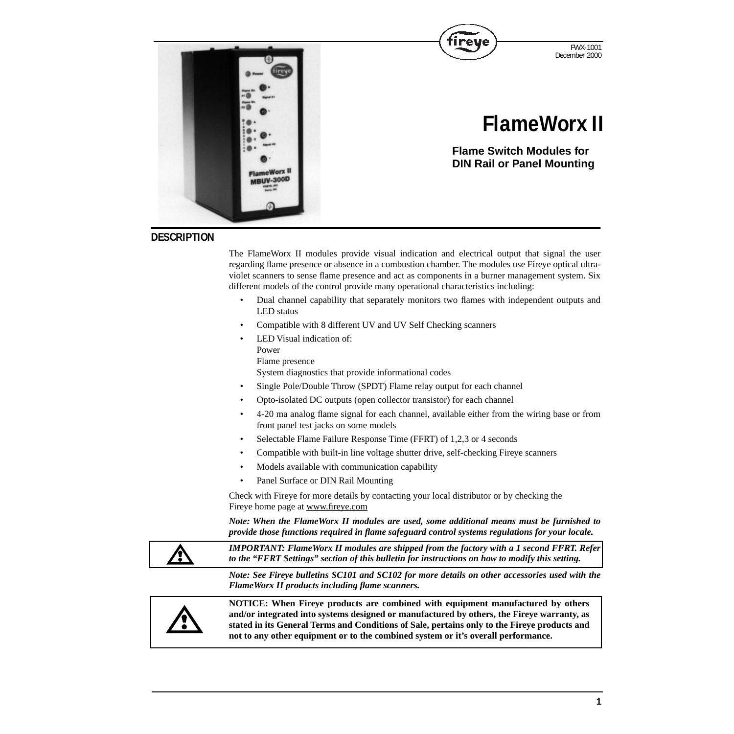

# **FlameWorx II**

FWX-1001 December 2000

**Flame Switch Modules for DIN Rail or Panel Mounting**

 $^{\circledR}$ 

### **DESCRIPTION**

The FlameWorx II modules provide visual indication and electrical output that signal the user regarding flame presence or absence in a combustion chamber. The modules use Fireye optical ultraviolet scanners to sense flame presence and act as components in a burner management system. Six different models of the control provide many operational characteristics including:

- Dual channel capability that separately monitors two flames with independent outputs and LED status
- Compatible with 8 different UV and UV Self Checking scanners
- LED Visual indication of: Power

Flame presence

System diagnostics that provide informational codes

- Single Pole/Double Throw (SPDT) Flame relay output for each channel
- Opto-isolated DC outputs (open collector transistor) for each channel
- 4-20 ma analog flame signal for each channel, available either from the wiring base or from front panel test jacks on some models
- Selectable Flame Failure Response Time (FFRT) of 1,2,3 or 4 seconds
- Compatible with built-in line voltage shutter drive, self-checking Fireye scanners
- Models available with communication capability
- Panel Surface or DIN Rail Mounting

Check with Fireye for more details by contacting your local distributor or by checking the Fireye home page at www.fireye.com

*Note: When the FlameWorx II modules are used, some additional means must be furnished to provide those functions required in flame safeguard control systems regulations for your locale.*



**stated in its General Terms and Conditions of Sale, pertains only to the Fireye products and not to any other equipment or to the combined system or it's overall performance.**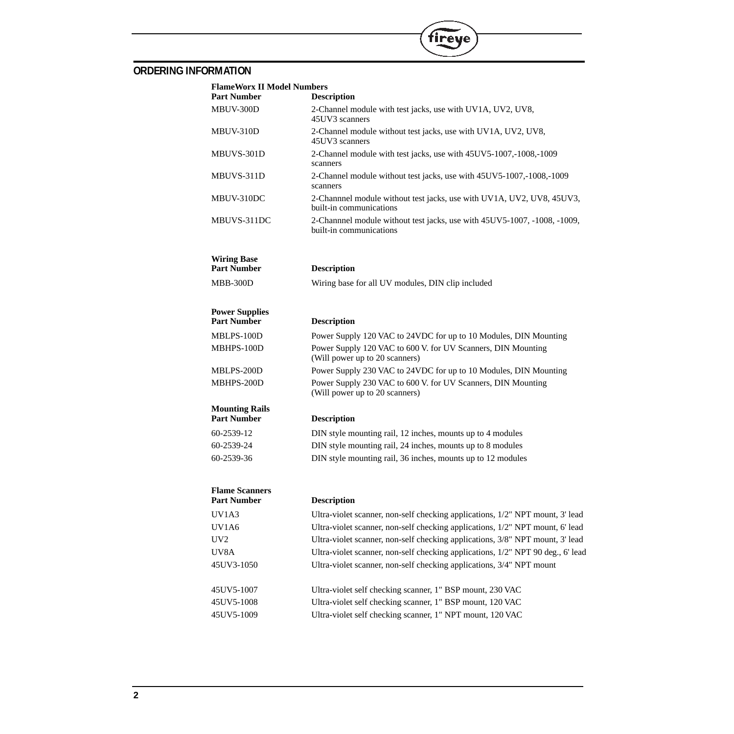# **ORDERING INFORMATION**

| <b>FlameWorx II Model Numbers</b><br><b>Part Number</b> | <b>Description</b>                                                                                  |
|---------------------------------------------------------|-----------------------------------------------------------------------------------------------------|
| MBUV-300D                                               | 2-Channel module with test jacks, use with UV1A, UV2, UV8,<br>45UV3 scanners                        |
| MBUV-310D                                               | 2-Channel module without test jacks, use with UV1A, UV2, UV8,<br>45UV3 scanners                     |
| MBUVS-301D                                              | 2-Channel module with test jacks, use with 45UV5-1007,-1008,-1009<br>scanners                       |
| MBUVS-311D                                              | 2-Channel module without test jacks, use with 45UV5-1007,-1008,-1009<br>scanners                    |
| MBUV-310DC                                              | 2-Channnel module without test jacks, use with UV1A, UV2, UV8, 45UV3,<br>built-in communications    |
| MBUVS-311DC                                             | 2-Channnel module without test jacks, use with 45UV5-1007, -1008, -1009,<br>built-in communications |
| <b>Wiring Base</b><br><b>Part Number</b>                | <b>Description</b>                                                                                  |
| MBB-300D                                                | Wiring base for all UV modules, DIN clip included                                                   |
| <b>Power Supplies</b><br><b>Part Number</b>             | <b>Description</b>                                                                                  |
| MBLPS-100D                                              | Power Supply 120 VAC to 24 VDC for up to 10 Modules, DIN Mounting                                   |
| MBHPS-100D                                              | Power Supply 120 VAC to 600 V. for UV Scanners, DIN Mounting<br>(Will power up to 20 scanners)      |
| MBLPS-200D                                              | Power Supply 230 VAC to 24VDC for up to 10 Modules, DIN Mounting                                    |
| MBHPS-200D                                              | Power Supply 230 VAC to 600 V. for UV Scanners, DIN Mounting<br>(Will power up to 20 scanners)      |
| <b>Mounting Rails</b><br><b>Part Number</b>             | <b>Description</b>                                                                                  |
| 60-2539-12                                              | DIN style mounting rail, 12 inches, mounts up to 4 modules                                          |
| 60-2539-24                                              | DIN style mounting rail, 24 inches, mounts up to 8 modules                                          |
| 60-2539-36                                              | DIN style mounting rail, 36 inches, mounts up to 12 modules                                         |
| <b>Flame Scanners</b><br><b>Part Number</b>             | <b>Description</b>                                                                                  |
| UV1A3                                                   | Ultra-violet scanner, non-self checking applications, 1/2" NPT mount, 3' lead                       |
| UV1A6                                                   | Ultra-violet scanner, non-self checking applications, 1/2" NPT mount, 6' lead                       |
| UV <sub>2</sub>                                         | Ultra-violet scanner, non-self checking applications, 3/8" NPT mount, 3' lead                       |
| UV8A                                                    | Ultra-violet scanner, non-self checking applications, 1/2" NPT 90 deg., 6' lead                     |
| 45UV3-1050                                              | Ultra-violet scanner, non-self checking applications, 3/4" NPT mount                                |
| 45UV5-1007                                              | Ultra-violet self checking scanner, 1" BSP mount, 230 VAC                                           |
| 45UV5-1008                                              | Ultra-violet self checking scanner, 1" BSP mount, 120 VAC                                           |
| 45UV5-1009                                              | Ultra-violet self checking scanner, 1" NPT mount, 120 VAC                                           |
|                                                         |                                                                                                     |

 $^\circledR$ 

fireye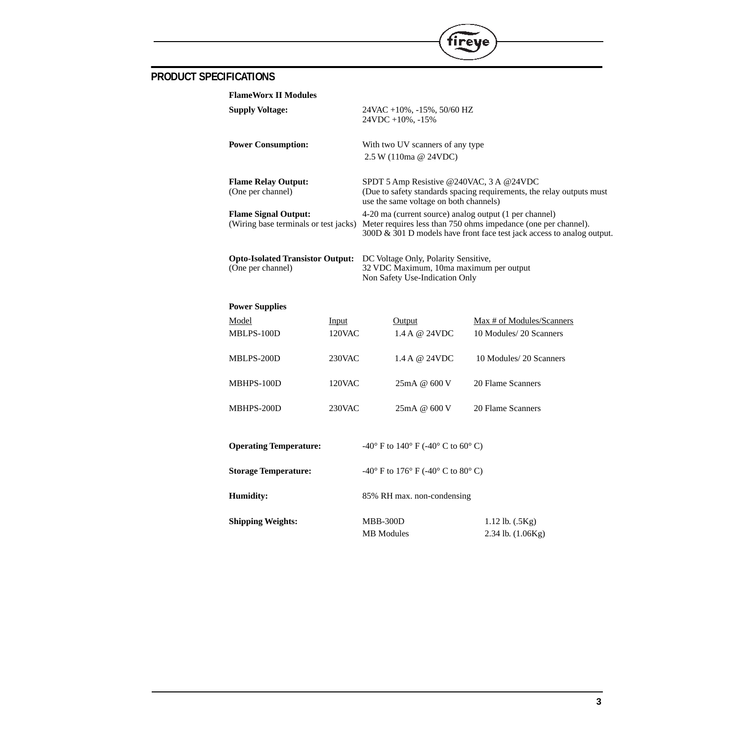

# **PRODUCT SPECIFICATIONS**

| <b>FlameWorx II Modules</b>                                                                                             |           |                                                                                                                                                                                                                                                                                                                                                                   |                           |  |
|-------------------------------------------------------------------------------------------------------------------------|-----------|-------------------------------------------------------------------------------------------------------------------------------------------------------------------------------------------------------------------------------------------------------------------------------------------------------------------------------------------------------------------|---------------------------|--|
| <b>Supply Voltage:</b>                                                                                                  |           | $24$ VAC +10%, -15%, 50/60 HZ<br>$24VDC + 10\% - 15\%$                                                                                                                                                                                                                                                                                                            |                           |  |
| <b>Power Consumption:</b>                                                                                               |           | With two UV scanners of any type<br>2.5 W (110ma @ 24VDC)                                                                                                                                                                                                                                                                                                         |                           |  |
| <b>Flame Relay Output:</b><br>(One per channel)<br><b>Flame Signal Output:</b><br>(Wiring base terminals or test jacks) |           | SPDT 5 Amp Resistive @240VAC, 3 A @24VDC<br>(Due to safety standards spacing requirements, the relay outputs must<br>use the same voltage on both channels)<br>4-20 ma (current source) analog output (1 per channel)<br>Meter requires less than 750 ohms impedance (one per channel).<br>300D & 301 D models have front face test jack access to analog output. |                           |  |
| <b>Opto-Isolated Transistor Output:</b><br>(One per channel)                                                            |           | DC Voltage Only, Polarity Sensitive,<br>32 VDC Maximum, 10ma maximum per output<br>Non Safety Use-Indication Only                                                                                                                                                                                                                                                 |                           |  |
| <b>Power Supplies</b>                                                                                                   |           |                                                                                                                                                                                                                                                                                                                                                                   |                           |  |
| Model                                                                                                                   | Input     | Output                                                                                                                                                                                                                                                                                                                                                            | Max # of Modules/Scanners |  |
| MBLPS-100D                                                                                                              | 120VAC    | 1.4 A @ 24VDC                                                                                                                                                                                                                                                                                                                                                     | 10 Modules/20 Scanners    |  |
| MBLPS-200D                                                                                                              | $230$ VAC | 1.4 A @ 24VDC                                                                                                                                                                                                                                                                                                                                                     | 10 Modules/20 Scanners    |  |
| MBHPS-100D                                                                                                              | 120VAC    | 25mA @ 600 V                                                                                                                                                                                                                                                                                                                                                      | 20 Flame Scanners         |  |
| MBHPS-200D                                                                                                              | $230$ VAC | $25mA$ @ 600 V                                                                                                                                                                                                                                                                                                                                                    | 20 Flame Scanners         |  |
| -40° F to 140° F (-40° C to 60° C)<br><b>Operating Temperature:</b>                                                     |           |                                                                                                                                                                                                                                                                                                                                                                   |                           |  |

**Storage Temperature:**  $-40^{\circ}$  F to  $176^{\circ}$  F (-40° C to  $80^{\circ}$  C)

**Humidity:** 85% RH max. non-condensing

**Shipping Weights:** MBB-300D 1.12 lb. (.5Kg)

MB Modules 2.34 lb. (1.06Kg)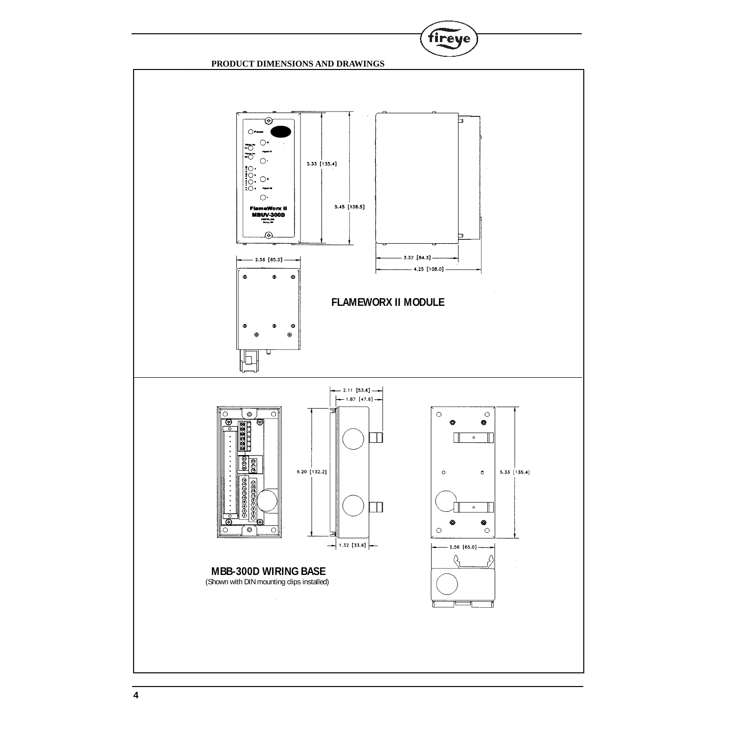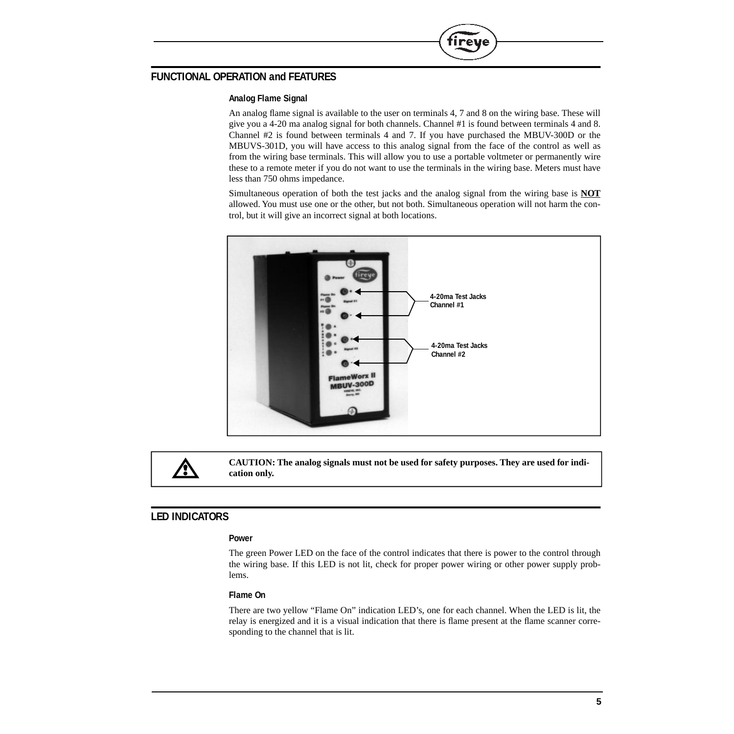# **FUNCTIONAL OPERATION and FEATURES**

#### **Analog Flame Signal**

An analog flame signal is available to the user on terminals 4, 7 and 8 on the wiring base. These will give you a 4-20 ma analog signal for both channels. Channel #1 is found between terminals 4 and 8. Channel #2 is found between terminals 4 and 7. If you have purchased the MBUV-300D or the MBUVS-301D, you will have access to this analog signal from the face of the control as well as from the wiring base terminals. This will allow you to use a portable voltmeter or permanently wire these to a remote meter if you do not want to use the terminals in the wiring base. Meters must have less than 750 ohms impedance.

R)

ireu

Simultaneous operation of both the test jacks and the analog signal from the wiring base is **NOT** allowed. You must use one or the other, but not both. Simultaneous operation will not harm the control, but it will give an incorrect signal at both locations.





**CAUTION: The analog signals must not be used for safety purposes. They are used for indication only.**

# **LED INDICATORS**

#### **Power**

The green Power LED on the face of the control indicates that there is power to the control through the wiring base. If this LED is not lit, check for proper power wiring or other power supply problems.

#### **Flame On**

There are two yellow "Flame On" indication LED's, one for each channel. When the LED is lit, the relay is energized and it is a visual indication that there is flame present at the flame scanner corresponding to the channel that is lit.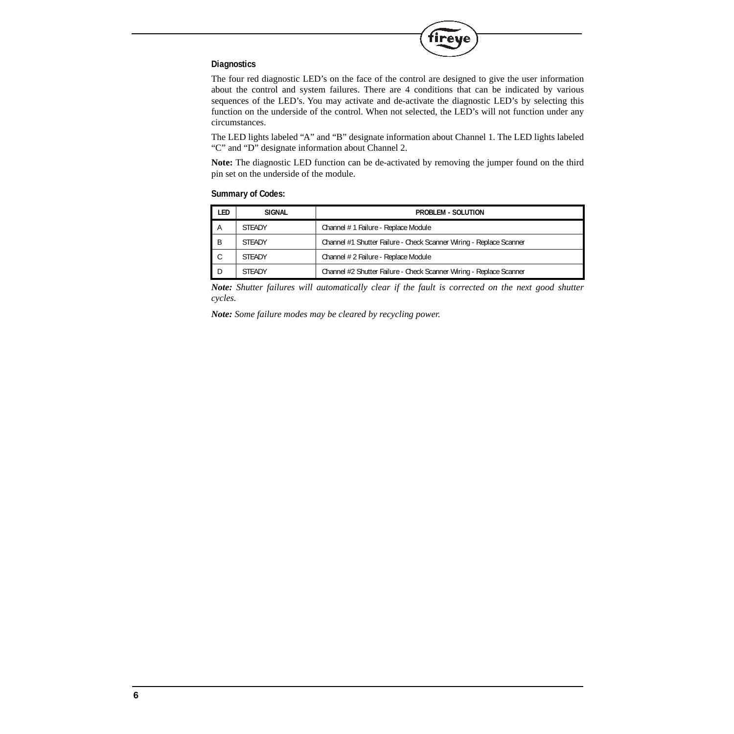

#### **Diagnostics**

The four red diagnostic LED's on the face of the control are designed to give the user information about the control and system failures. There are 4 conditions that can be indicated by various sequences of the LED's. You may activate and de-activate the diagnostic LED's by selecting this function on the underside of the control. When not selected, the LED's will not function under any circumstances.

The LED lights labeled "A" and "B" designate information about Channel 1. The LED lights labeled "C" and "D" designate information about Channel 2.

**Note:** The diagnostic LED function can be de-activated by removing the jumper found on the third pin set on the underside of the module.

**Summary of Codes:**

| LED | SIGNAL        | PROBLEM - SOLUTION                                                  |  |
|-----|---------------|---------------------------------------------------------------------|--|
| A   | <b>STEADY</b> | Channel # 1 Failure - Replace Module                                |  |
| B   | <b>STEADY</b> | Channel #1 Shutter Failure - Check Scanner Wiring - Replace Scanner |  |
| C.  | <b>STEADY</b> | Channel # 2 Failure - Replace Module                                |  |
| D   | <b>STEADY</b> | Channel #2 Shutter Failure - Check Scanner Wiring - Replace Scanner |  |

*Note: Shutter failures will automatically clear if the fault is corrected on the next good shutter cycles.*

*Note: Some failure modes may be cleared by recycling power.*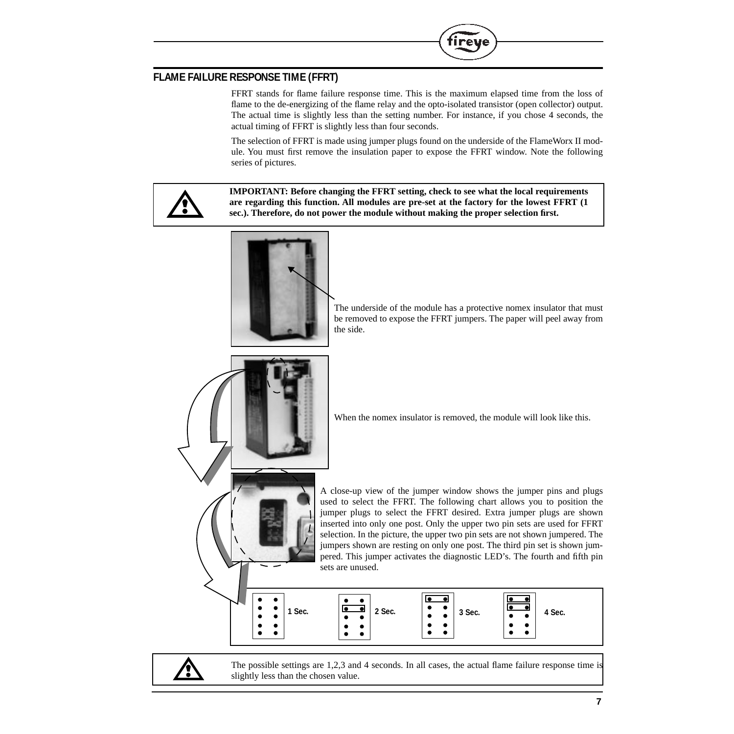# **FLAME FAILURE RESPONSE TIME (FFRT)**

FFRT stands for flame failure response time. This is the maximum elapsed time from the loss of flame to the de-energizing of the flame relay and the opto-isolated transistor (open collector) output. The actual time is slightly less than the setting number. For instance, if you chose 4 seconds, the actual timing of FFRT is slightly less than four seconds.

R

ıе

'irev

The selection of FFRT is made using jumper plugs found on the underside of the FlameWorx II module. You must first remove the insulation paper to expose the FFRT window. Note the following series of pictures.





The possible settings are 1,2,3 and 4 seconds. In all cases, the actual flame failure response time is slightly less than the chosen value.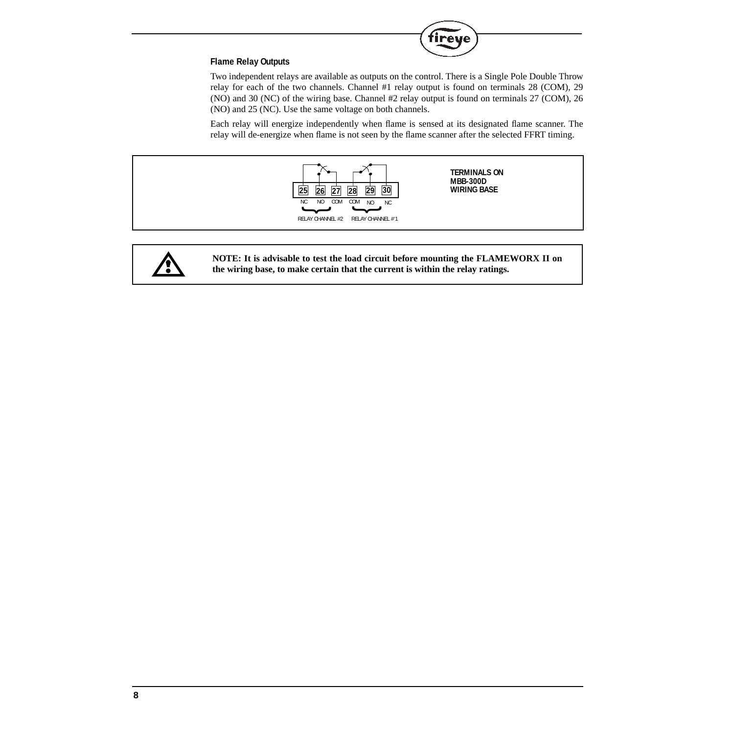

### **Flame Relay Outputs**

Two independent relays are available as outputs on the control. There is a Single Pole Double Throw relay for each of the two channels. Channel #1 relay output is found on terminals 28 (COM), 29 (NO) and 30 (NC) of the wiring base. Channel #2 relay output is found on terminals 27 (COM), 26 (NO) and 25 (NC). Use the same voltage on both channels.

Each relay will energize independently when flame is sensed at its designated flame scanner. The relay will de-energize when flame is not seen by the flame scanner after the selected FFRT timing.





**NOTE: It is advisable to test the load circuit before mounting the FLAMEWORX II on the wiring base, to make certain that the current is within the relay ratings.**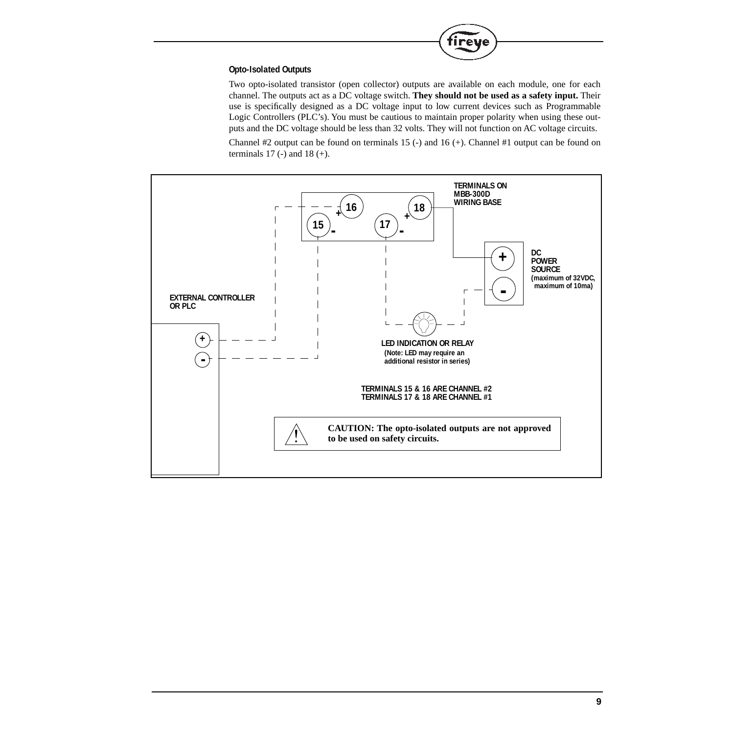

#### **Opto-Isolated Outputs**

Two opto-isolated transistor (open collector) outputs are available on each module, one for each channel. The outputs act as a DC voltage switch. **They should not be used as a safety input.** Their use is specifically designed as a DC voltage input to low current devices such as Programmable Logic Controllers (PLC's). You must be cautious to maintain proper polarity when using these outputs and the DC voltage should be less than 32 volts. They will not function on AC voltage circuits.

Channel  $#2$  output can be found on terminals 15 (-) and 16 (+). Channel  $#1$  output can be found on terminals 17 $(-)$  and 18 $(+)$ .

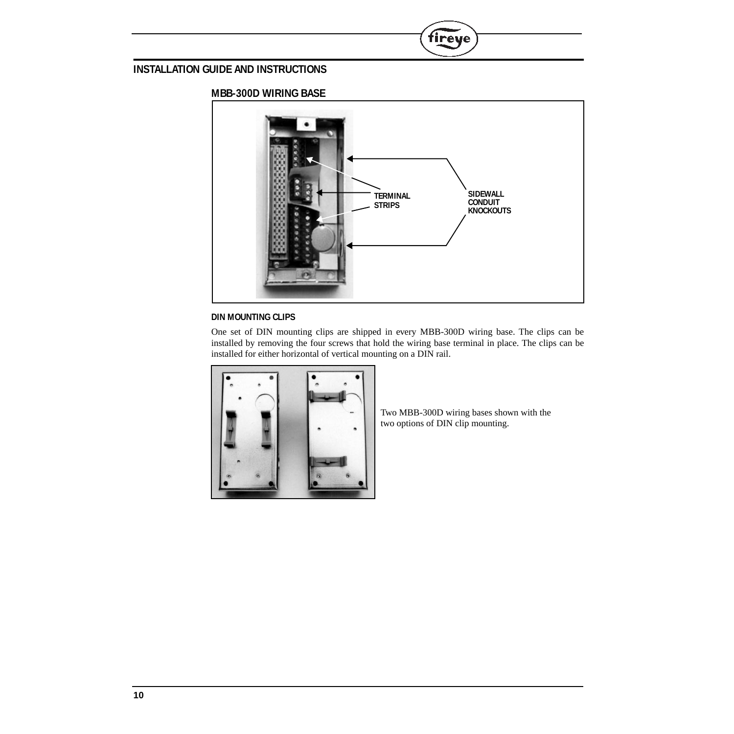# **INSTALLATION GUIDE AND INSTRUCTIONS**

### **MBB-300D WIRING BASE**



### **DIN MOUNTING CLIPS**

One set of DIN mounting clips are shipped in every MBB-300D wiring base. The clips can be installed by removing the four screws that hold the wiring base terminal in place. The clips can be installed for either horizontal of vertical mounting on a DIN rail.



Two MBB-300D wiring bases shown with the two options of DIN clip mounting.

 $^{\circledR}$ 

fireye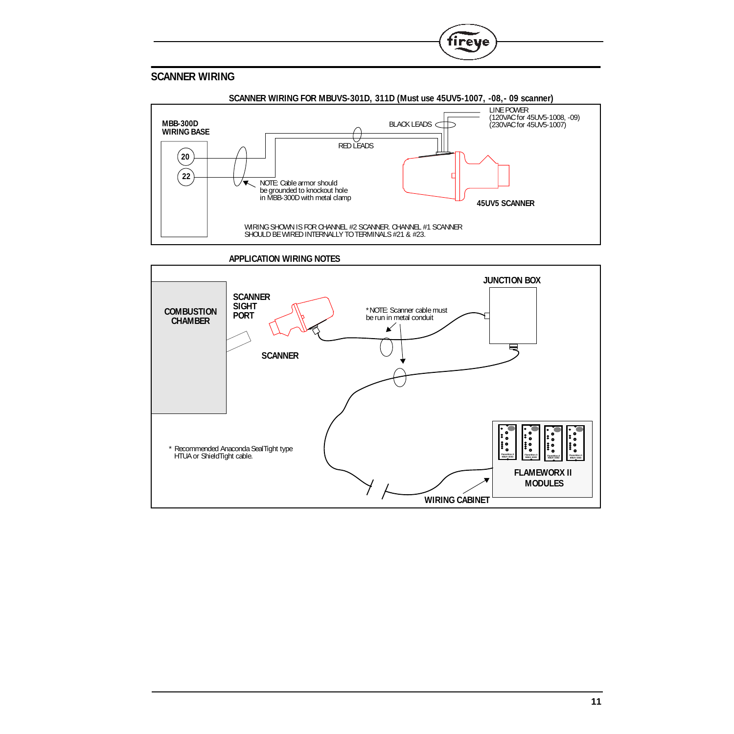### **SCANNER WIRING**



 $\circledR$ 

fireye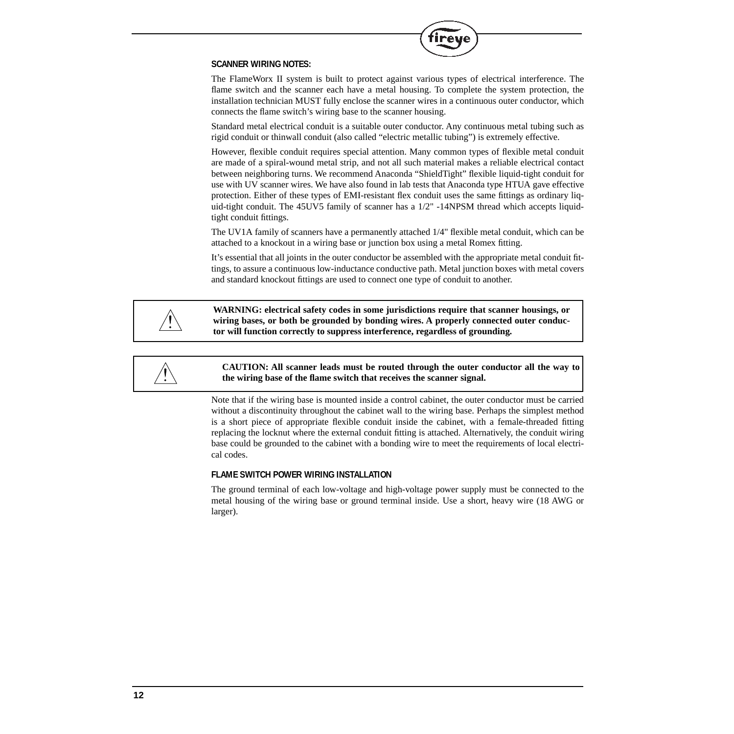#### **SCANNER WIRING NOTES:**

The FlameWorx II system is built to protect against various types of electrical interference. The flame switch and the scanner each have a metal housing. To complete the system protection, the installation technician MUST fully enclose the scanner wires in a continuous outer conductor, which connects the flame switch's wiring base to the scanner housing.

 $^{\circledR}$ 

Standard metal electrical conduit is a suitable outer conductor. Any continuous metal tubing such as rigid conduit or thinwall conduit (also called "electric metallic tubing") is extremely effective.

However, flexible conduit requires special attention. Many common types of flexible metal conduit are made of a spiral-wound metal strip, and not all such material makes a reliable electrical contact between neighboring turns. We recommend Anaconda "ShieldTight" flexible liquid-tight conduit for use with UV scanner wires. We have also found in lab tests that Anaconda type HTUA gave effective protection. Either of these types of EMI-resistant flex conduit uses the same fittings as ordinary liquid-tight conduit. The 45UV5 family of scanner has a 1/2" -14NPSM thread which accepts liquidtight conduit fittings.

The UV1A family of scanners have a permanently attached 1/4" flexible metal conduit, which can be attached to a knockout in a wiring base or junction box using a metal Romex fitting.

It's essential that all joints in the outer conductor be assembled with the appropriate metal conduit fittings, to assure a continuous low-inductance conductive path. Metal junction boxes with metal covers and standard knockout fittings are used to connect one type of conduit to another.

**WARNING: electrical safety codes in some jurisdictions require that scanner housings, or wiring bases, or both be grounded by bonding wires. A properly connected outer conductor will function correctly to suppress interference, regardless of grounding.**



**CAUTION: All scanner leads must be routed through the outer conductor all the way to the wiring base of the flame switch that receives the scanner signal.**

Note that if the wiring base is mounted inside a control cabinet, the outer conductor must be carried without a discontinuity throughout the cabinet wall to the wiring base. Perhaps the simplest method is a short piece of appropriate flexible conduit inside the cabinet, with a female-threaded fitting replacing the locknut where the external conduit fitting is attached. Alternatively, the conduit wiring base could be grounded to the cabinet with a bonding wire to meet the requirements of local electrical codes.

#### **FLAME SWITCH POWER WIRING INSTALLATION**

The ground terminal of each low-voltage and high-voltage power supply must be connected to the metal housing of the wiring base or ground terminal inside. Use a short, heavy wire (18 AWG or larger).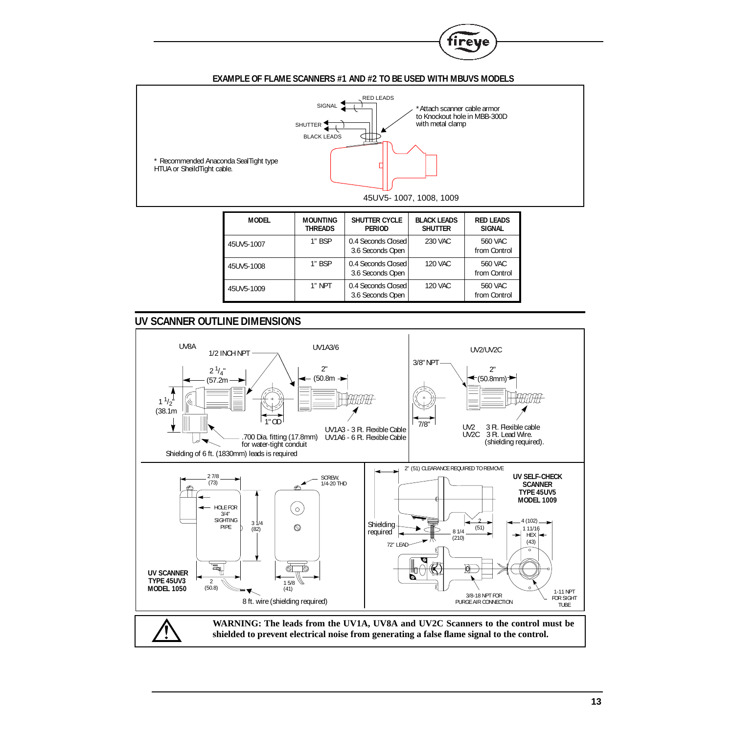

### **EXAMPLE OF FLAME SCANNERS #1 AND #2 TO BE USED WITH MBUVS MODELS**



| <b>MODEL</b> | <b>MOUNTING</b><br><b>THREADS</b> | <b>SHUTTER CYCLE</b><br><b>PERIOD</b>  | <b>BI ACK I FADS</b><br><b>SHUTTER</b> | <b>RED LEADS</b><br><b>SIGNAL</b> |
|--------------|-----------------------------------|----------------------------------------|----------------------------------------|-----------------------------------|
| 45UV5-1007   | $1"$ BSP                          | 0.4 Seconds Closed<br>3.6 Seconds Open | 230 VAC                                | 560 VAC<br>from Control           |
| 45UV5-1008   | $1"$ BSP                          | 0.4 Seconds Closed<br>3.6 Seconds Open | 120 VAC                                | 560 VAC<br>from Control           |
| 45UV5-1009   | 1" NPT                            | 0.4 Seconds Closed<br>3.6 Seconds Open | 120 VAC                                | 560 VAC<br>from Control           |

# **UV SCANNER OUTLINE DIMENSIONS**



**shielded to prevent electrical noise from generating a false flame signal to the control.**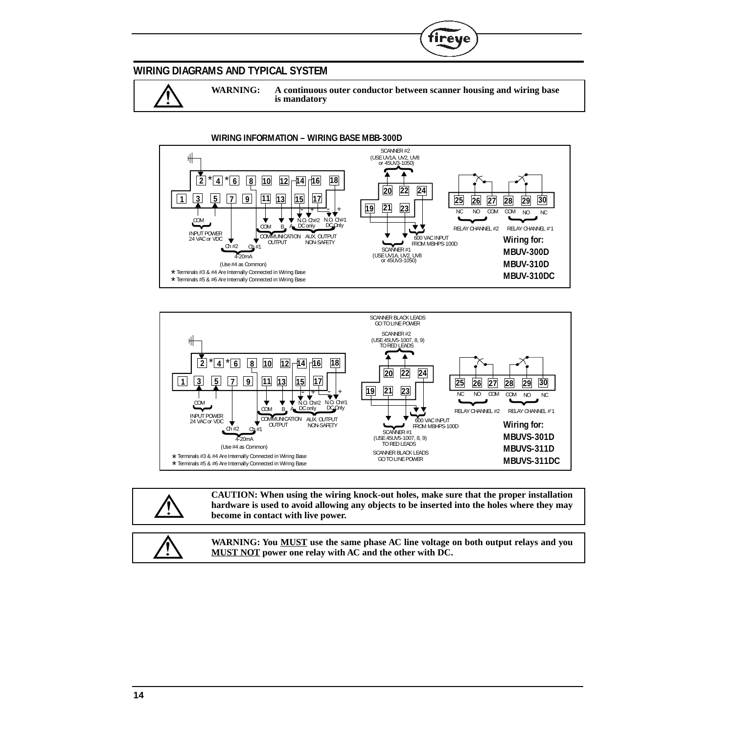## **WIRING DIAGRAMS AND TYPICAL SYSTEM**



**WARNING: A continuous outer conductor between scanner housing and wiring base is mandatory**

 $^{\circledR}$ 

**Tireve** 







**CAUTION: When using the wiring knock-out holes, make sure that the proper installation hardware is used to avoid allowing any objects to be inserted into the holes where they may become in contact with live power.**



**WARNING: You MUST use the same phase AC line voltage on both output relays and you MUST NOT power one relay with AC and the other with DC.**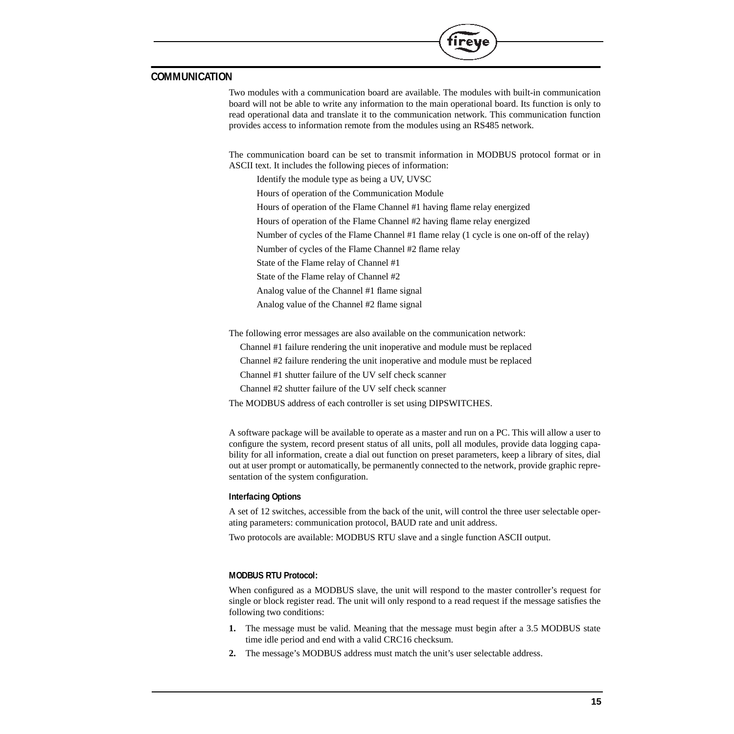### **COMMUNICATION**

Two modules with a communication board are available. The modules with built-in communication board will not be able to write any information to the main operational board. Its function is only to read operational data and translate it to the communication network. This communication function provides access to information remote from the modules using an RS485 network.

 $^{\circledR}$ 

ırev

The communication board can be set to transmit information in MODBUS protocol format or in ASCII text. It includes the following pieces of information:

Identify the module type as being a UV, UVSC Hours of operation of the Communication Module Hours of operation of the Flame Channel #1 having flame relay energized Hours of operation of the Flame Channel #2 having flame relay energized Number of cycles of the Flame Channel #1 flame relay (1 cycle is one on-off of the relay) Number of cycles of the Flame Channel #2 flame relay State of the Flame relay of Channel #1 State of the Flame relay of Channel #2 Analog value of the Channel #1 flame signal Analog value of the Channel #2 flame signal

The following error messages are also available on the communication network:

Channel #1 failure rendering the unit inoperative and module must be replaced

Channel #2 failure rendering the unit inoperative and module must be replaced

Channel #1 shutter failure of the UV self check scanner

Channel #2 shutter failure of the UV self check scanner

The MODBUS address of each controller is set using DIPSWITCHES.

A software package will be available to operate as a master and run on a PC. This will allow a user to configure the system, record present status of all units, poll all modules, provide data logging capability for all information, create a dial out function on preset parameters, keep a library of sites, dial out at user prompt or automatically, be permanently connected to the network, provide graphic representation of the system configuration.

#### **Interfacing Options**

A set of 12 switches, accessible from the back of the unit, will control the three user selectable operating parameters: communication protocol, BAUD rate and unit address.

Two protocols are available: MODBUS RTU slave and a single function ASCII output.

#### **MODBUS RTU Protocol:**

When configured as a MODBUS slave, the unit will respond to the master controller's request for single or block register read. The unit will only respond to a read request if the message satisfies the following two conditions:

- **1.** The message must be valid. Meaning that the message must begin after a 3.5 MODBUS state time idle period and end with a valid CRC16 checksum.
- **2.** The message's MODBUS address must match the unit's user selectable address.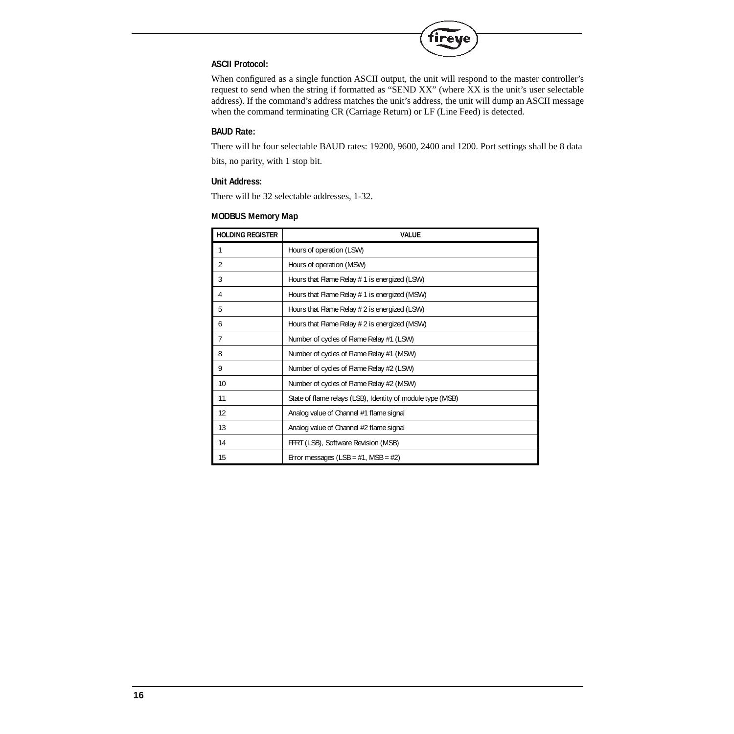

When configured as a single function ASCII output, the unit will respond to the master controller's request to send when the string if formatted as "SEND XX" (where XX is the unit's user selectable address). If the command's address matches the unit's address, the unit will dump an ASCII message when the command terminating CR (Carriage Return) or LF (Line Feed) is detected.

R.

tireve

#### **BAUD Rate:**

There will be four selectable BAUD rates: 19200, 9600, 2400 and 1200. Port settings shall be 8 data bits, no parity, with 1 stop bit.

#### **Unit Address:**

There will be 32 selectable addresses, 1-32.

#### **MODBUS Memory Map**

| <b>HOLDING REGISTER</b> | <b>VALUE</b>                                               |
|-------------------------|------------------------------------------------------------|
| 1                       | Hours of operation (LSW)                                   |
| 2                       | Hours of operation (MSW)                                   |
| 3                       | Hours that Flame Relay # 1 is energized (LSW)              |
| 4                       | Hours that Flame Relay # 1 is energized (MSW)              |
| 5                       | Hours that Flame Relay # 2 is energized (LSW)              |
| 6                       | Hours that Flame Relay # 2 is energized (MSW)              |
| 7                       | Number of cycles of Flame Relay #1 (LSW)                   |
| 8                       | Number of cycles of Flame Relay #1 (MSW)                   |
| 9                       | Number of cycles of Flame Relay #2 (LSW)                   |
| 10                      | Number of cycles of Flame Relay #2 (MSW)                   |
| 11                      | State of flame relays (LSB), Identity of module type (MSB) |
| 12                      | Analog value of Channel #1 flame signal                    |
| 13                      | Analog value of Channel #2 flame signal                    |
| 14                      | FFRT (LSB), Software Revision (MSB)                        |
| 15                      | Error messages (LSB = $#1$ , MSB = $#2$ )                  |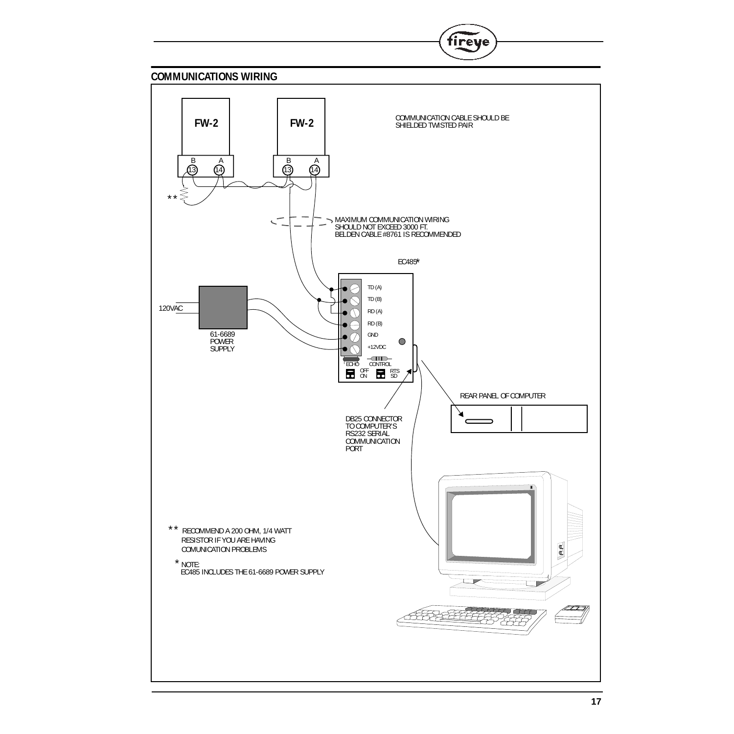

 $(\widehat{R})$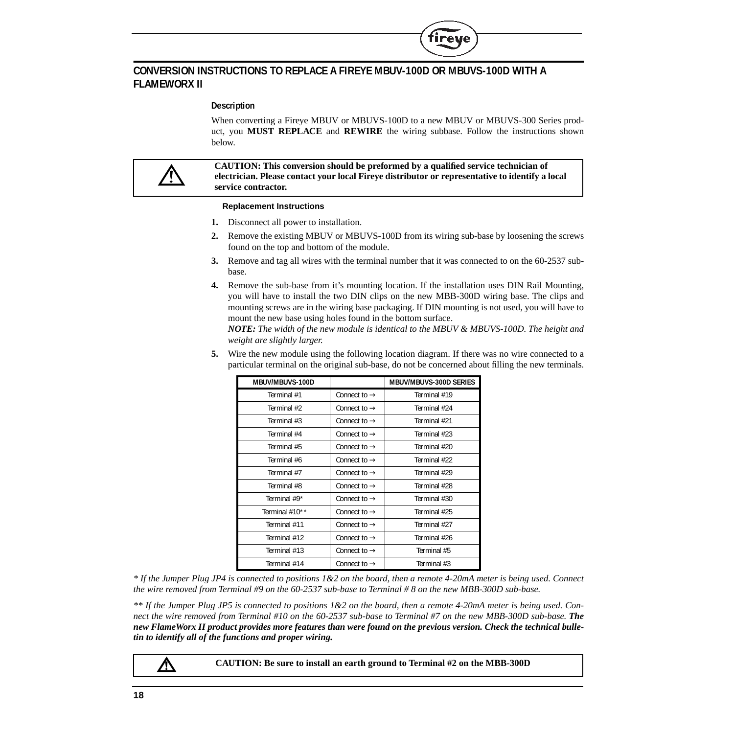# **CONVERSION INSTRUCTIONS TO REPLACE A FIREYE MBUV-100D OR MBUVS-100D WITH A FLAMEWORX II**

#### **Description**

When converting a Fireye MBUV or MBUVS-100D to a new MBUV or MBUVS-300 Series product, you **MUST REPLACE** and **REWIRE** the wiring subbase. Follow the instructions shown below.

 $^{\circledR}$ 



**CAUTION: This conversion should be preformed by a qualified service technician of electrician. Please contact your local Fireye distributor or representative to identify a local service contractor.**

#### **Replacement Instructions**

- **1.** Disconnect all power to installation.
- **2.** Remove the existing MBUV or MBUVS-100D from its wiring sub-base by loosening the screws found on the top and bottom of the module.
- **3.** Remove and tag all wires with the terminal number that it was connected to on the 60-2537 subbase.
- **4.** Remove the sub-base from it's mounting location. If the installation uses DIN Rail Mounting, you will have to install the two DIN clips on the new MBB-300D wiring base. The clips and mounting screws are in the wiring base packaging. If DIN mounting is not used, you will have to mount the new base using holes found in the bottom surface.

*NOTE: The width of the new module is identical to the MBUV & MBUVS-100D. The height and weight are slightly larger.*

**5.** Wire the new module using the following location diagram. If there was no wire connected to a particular terminal on the original sub-base, do not be concerned about filling the new terminals.

| MBUV/MBUVS-100D |                          | <b>MBUV/MBUVS-300D SERIES</b> |
|-----------------|--------------------------|-------------------------------|
| Terminal #1     | Connect to $\rightarrow$ | Terminal #19                  |
| Terminal #2     | Connect to $\rightarrow$ | Terminal #24                  |
| Terminal #3     | Connect to $\rightarrow$ | Terminal #21                  |
| Terminal #4     | Connect to $\rightarrow$ | Terminal #23                  |
| Terminal #5     | Connect to $\rightarrow$ | Terminal #20                  |
| Terminal #6     | Connect to $\rightarrow$ | Terminal #22                  |
| Terminal #7     | Connect to $\rightarrow$ | Terminal #29                  |
| Terminal #8     | Connect to $\rightarrow$ | Terminal #28                  |
| Terminal #9*    | Connect to $\rightarrow$ | Terminal #30                  |
| Terminal #10**  | Connect to $\rightarrow$ | Terminal #25                  |
| Terminal #11    | Connect to $\rightarrow$ | Terminal #27                  |
| Terminal #12    | Connect to $\rightarrow$ | Terminal #26                  |
| Terminal #13    | Connect to $\rightarrow$ | Terminal #5                   |
| Terminal #14    | Connect to $\rightarrow$ | Terminal #3                   |

*\* If the Jumper Plug JP4 is connected to positions 1&2 on the board, then a remote 4-20mA meter is being used. Connect the wire removed from Terminal #9 on the 60-2537 sub-base to Terminal # 8 on the new MBB-300D sub-base.*

*\*\* If the Jumper Plug JP5 is connected to positions 1&2 on the board, then a remote 4-20mA meter is being used. Connect the wire removed from Terminal #10 on the 60-2537 sub-base to Terminal #7 on the new MBB-300D sub-base. The new FlameWorx II product provides more features than were found on the previous version. Check the technical bulletin to identify all of the functions and proper wiring.*

Ŵ

**CAUTION: Be sure to install an earth ground to Terminal #2 on the MBB-300D**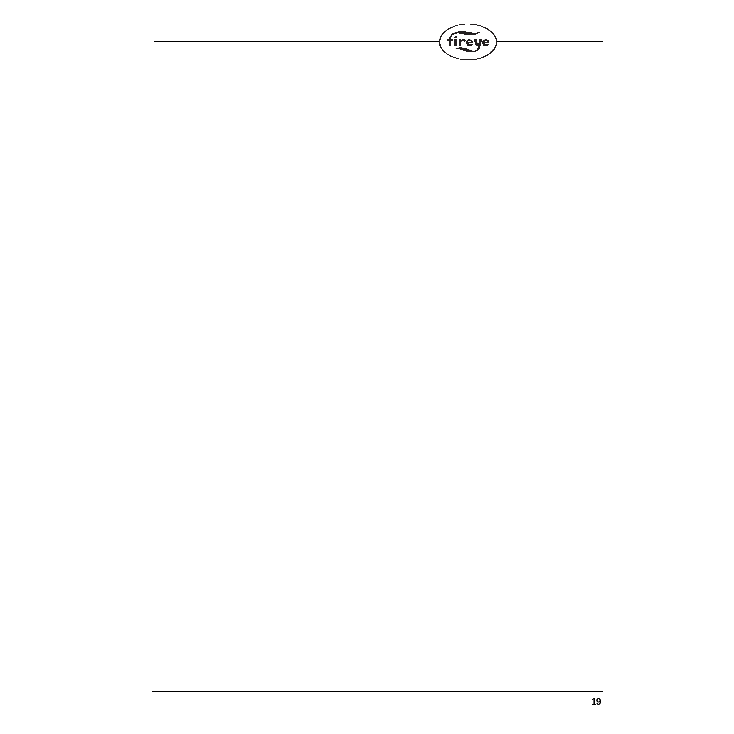